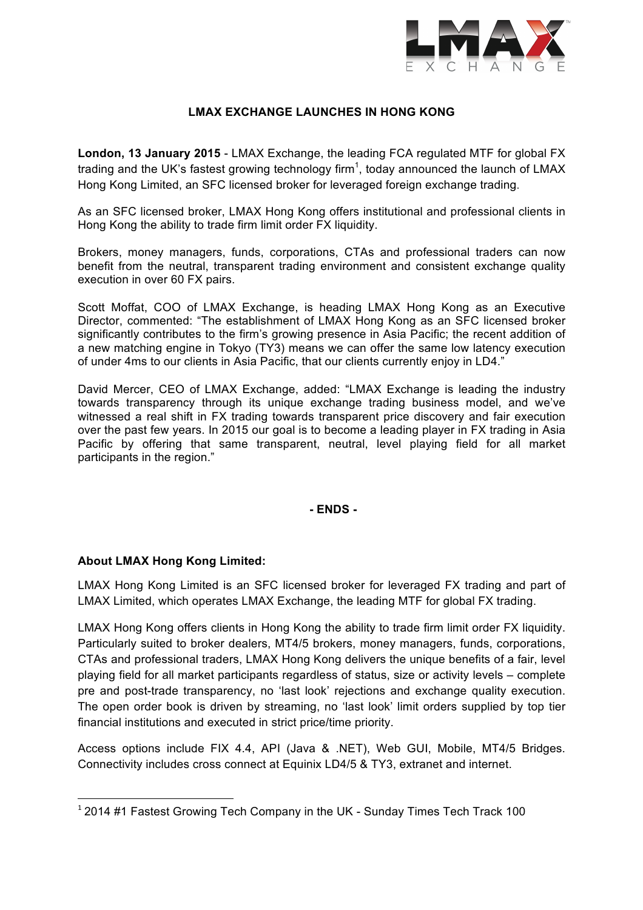

# **LMAX EXCHANGE LAUNCHES IN HONG KONG**

**London, 13 January 2015** - LMAX Exchange, the leading FCA regulated MTF for global FX trading and the UK's fastest growing technology firm<sup>1</sup>, today announced the launch of LMAX Hong Kong Limited, an SFC licensed broker for leveraged foreign exchange trading.

As an SFC licensed broker, LMAX Hong Kong offers institutional and professional clients in Hong Kong the ability to trade firm limit order FX liquidity.

Brokers, money managers, funds, corporations, CTAs and professional traders can now benefit from the neutral, transparent trading environment and consistent exchange quality execution in over 60 FX pairs.

Scott Moffat, COO of LMAX Exchange, is heading LMAX Hong Kong as an Executive Director, commented: "The establishment of LMAX Hong Kong as an SFC licensed broker significantly contributes to the firm's growing presence in Asia Pacific; the recent addition of a new matching engine in Tokyo (TY3) means we can offer the same low latency execution of under 4ms to our clients in Asia Pacific, that our clients currently enjoy in LD4."

David Mercer, CEO of LMAX Exchange, added: "LMAX Exchange is leading the industry towards transparency through its unique exchange trading business model, and we've witnessed a real shift in FX trading towards transparent price discovery and fair execution over the past few years. In 2015 our goal is to become a leading player in FX trading in Asia Pacific by offering that same transparent, neutral, level playing field for all market participants in the region."

**- ENDS -**

## **About LMAX Hong Kong Limited:**

 

LMAX Hong Kong Limited is an SFC licensed broker for leveraged FX trading and part of LMAX Limited, which operates LMAX Exchange, the leading MTF for global FX trading.

LMAX Hong Kong offers clients in Hong Kong the ability to trade firm limit order FX liquidity. Particularly suited to broker dealers, MT4/5 brokers, money managers, funds, corporations, CTAs and professional traders, LMAX Hong Kong delivers the unique benefits of a fair, level playing field for all market participants regardless of status, size or activity levels – complete pre and post-trade transparency, no 'last look' rejections and exchange quality execution. The open order book is driven by streaming, no 'last look' limit orders supplied by top tier financial institutions and executed in strict price/time priority.

Access options include FIX 4.4, API (Java & .NET), Web GUI, Mobile, MT4/5 Bridges. Connectivity includes cross connect at Equinix LD4/5 & TY3, extranet and internet.

 $12014$  #1 Fastest Growing Tech Company in the UK - Sunday Times Tech Track 100